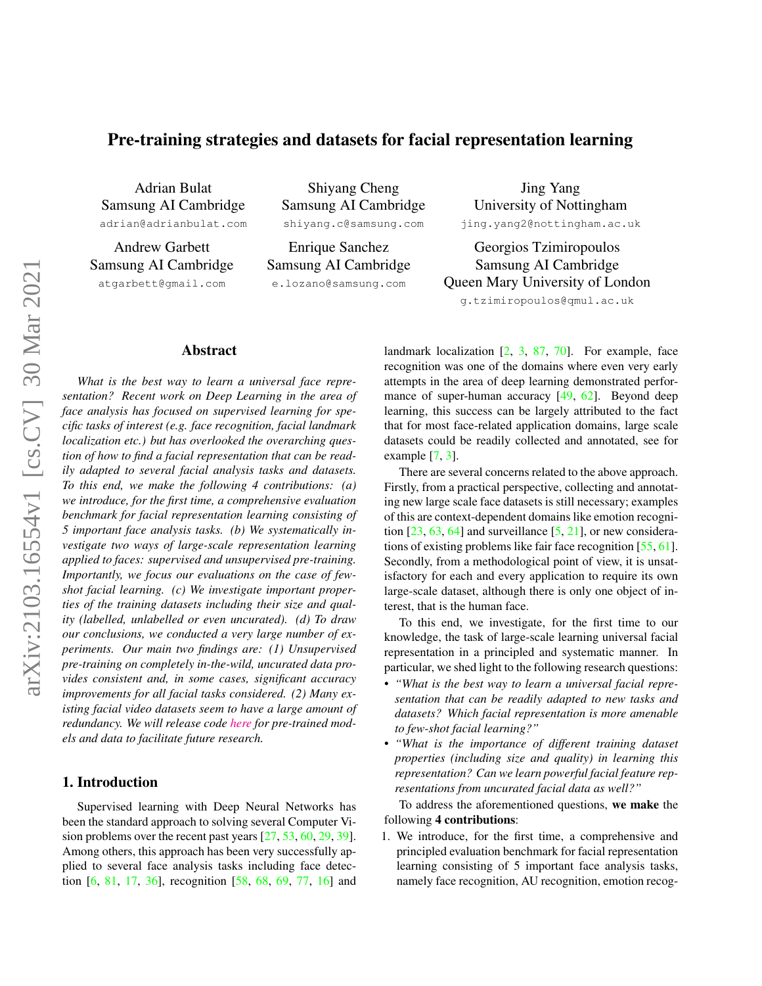# <span id="page-0-0"></span>Pre-training strategies and datasets for facial representation learning

Adrian Bulat Samsung AI Cambridge adrian@adrianbulat.com

Andrew Garbett Samsung AI Cambridge atgarbett@gmail.com

Shiyang Cheng Samsung AI Cambridge shiyang.c@samsung.com

Enrique Sanchez Samsung AI Cambridge e.lozano@samsung.com

Jing Yang University of Nottingham

jing.yang2@nottingham.ac.uk

Georgios Tzimiropoulos Samsung AI Cambridge Queen Mary University of London

g.tzimiropoulos@qmul.ac.uk

Abstract

*What is the best way to learn a universal face representation? Recent work on Deep Learning in the area of face analysis has focused on supervised learning for specific tasks of interest (e.g. face recognition, facial landmark localization etc.) but has overlooked the overarching question of how to find a facial representation that can be readily adapted to several facial analysis tasks and datasets. To this end, we make the following 4 contributions: (a) we introduce, for the first time, a comprehensive evaluation benchmark for facial representation learning consisting of 5 important face analysis tasks. (b) We systematically investigate two ways of large-scale representation learning applied to faces: supervised and unsupervised pre-training. Importantly, we focus our evaluations on the case of fewshot facial learning. (c) We investigate important properties of the training datasets including their size and quality (labelled, unlabelled or even uncurated). (d) To draw our conclusions, we conducted a very large number of experiments. Our main two findings are: (1) Unsupervised pre-training on completely in-the-wild, uncurated data provides consistent and, in some cases, significant accuracy improvements for all facial tasks considered. (2) Many existing facial video datasets seem to have a large amount of redundancy. We will release code [here](https://www.adrianbulat.com) for pre-trained models and data to facilitate future research.*

## 1. Introduction

Supervised learning with Deep Neural Networks has been the standard approach to solving several Computer Vision problems over the recent past years [\[27,](#page-9-0) [53,](#page-10-0) [60,](#page-10-1) [29,](#page-9-1) [39\]](#page-9-2). Among others, this approach has been very successfully applied to several face analysis tasks including face detection [\[6,](#page-8-0) [81,](#page-11-0) [17,](#page-8-1) [36\]](#page-9-3), recognition [\[58,](#page-10-2) [68,](#page-10-3) [69,](#page-10-4) [77,](#page-10-5) [16\]](#page-8-2) and landmark localization [\[2,](#page-8-3) [3,](#page-8-4) [87,](#page-11-1) [70\]](#page-10-6). For example, face recognition was one of the domains where even very early attempts in the area of deep learning demonstrated perfor-mance of super-human accuracy [\[49,](#page-9-4) [62\]](#page-10-7). Beyond deep learning, this success can be largely attributed to the fact that for most face-related application domains, large scale datasets could be readily collected and annotated, see for example  $[7, 3]$  $[7, 3]$  $[7, 3]$ .

There are several concerns related to the above approach. Firstly, from a practical perspective, collecting and annotating new large scale face datasets is still necessary; examples of this are context-dependent domains like emotion recognition  $[23, 63, 64]$  $[23, 63, 64]$  $[23, 63, 64]$  $[23, 63, 64]$  $[23, 63, 64]$  and surveillance  $[5, 21]$  $[5, 21]$  $[5, 21]$ , or new considerations of existing problems like fair face recognition [\[55,](#page-10-10) [61\]](#page-10-11). Secondly, from a methodological point of view, it is unsatisfactory for each and every application to require its own large-scale dataset, although there is only one object of interest, that is the human face.

To this end, we investigate, for the first time to our knowledge, the task of large-scale learning universal facial representation in a principled and systematic manner. In particular, we shed light to the following research questions:

- *"What is the best way to learn a universal facial representation that can be readily adapted to new tasks and datasets? Which facial representation is more amenable to few-shot facial learning?"*
- *"What is the importance of different training dataset properties (including size and quality) in learning this representation? Can we learn powerful facial feature representations from uncurated facial data as well?"*

To address the aforementioned questions, we make the following 4 contributions:

1. We introduce, for the first time, a comprehensive and principled evaluation benchmark for facial representation learning consisting of 5 important face analysis tasks, namely face recognition, AU recognition, emotion recog-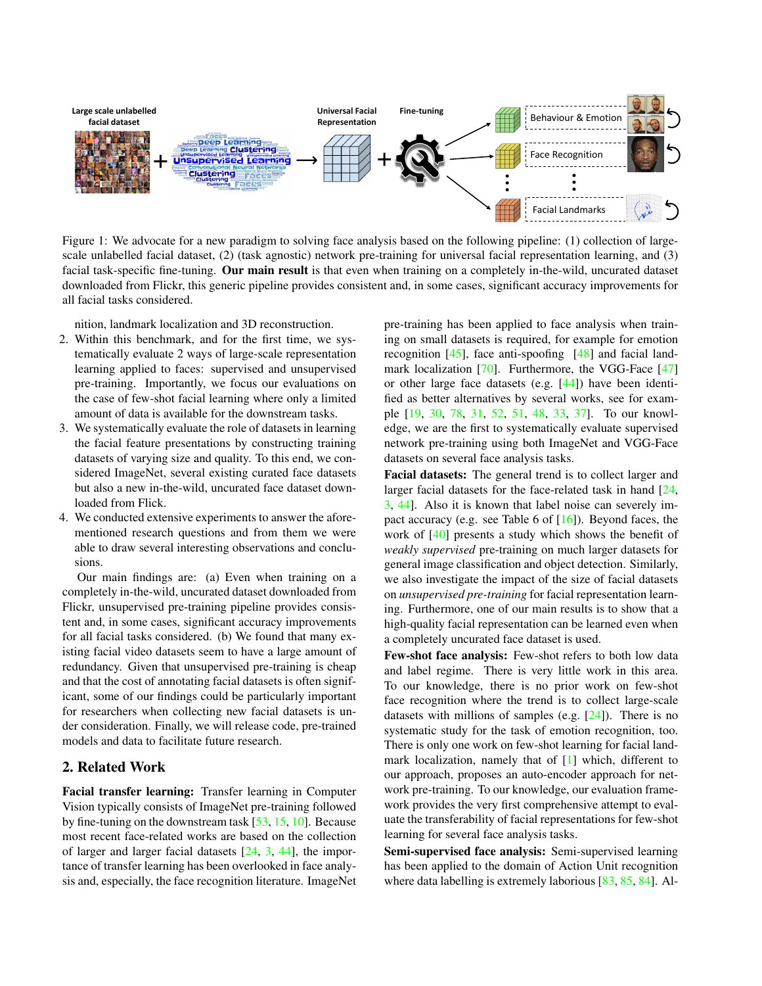<span id="page-1-0"></span>

Figure 1: We advocate for a new paradigm to solving face analysis based on the following pipeline: (1) collection of largescale unlabelled facial dataset, (2) (task agnostic) network pre-training for universal facial representation learning, and (3) facial task-specific fine-tuning. Our main result is that even when training on a completely in-the-wild, uncurated dataset downloaded from Flickr, this generic pipeline provides consistent and, in some cases, significant accuracy improvements for all facial tasks considered.

nition, landmark localization and 3D reconstruction.

- 2. Within this benchmark, and for the first time, we systematically evaluate 2 ways of large-scale representation learning applied to faces: supervised and unsupervised pre-training. Importantly, we focus our evaluations on the case of few-shot facial learning where only a limited amount of data is available for the downstream tasks.
- 3. We systematically evaluate the role of datasets in learning the facial feature presentations by constructing training datasets of varying size and quality. To this end, we considered ImageNet, several existing curated face datasets but also a new in-the-wild, uncurated face dataset downloaded from Flick.
- 4. We conducted extensive experiments to answer the aforementioned research questions and from them we were able to draw several interesting observations and conclusions.

Our main findings are: (a) Even when training on a completely in-the-wild, uncurated dataset downloaded from Flickr, unsupervised pre-training pipeline provides consistent and, in some cases, significant accuracy improvements for all facial tasks considered. (b) We found that many existing facial video datasets seem to have a large amount of redundancy. Given that unsupervised pre-training is cheap and that the cost of annotating facial datasets is often significant, some of our findings could be particularly important for researchers when collecting new facial datasets is under consideration. Finally, we will release code, pre-trained models and data to facilitate future research.

### 2. Related Work

Facial transfer learning: Transfer learning in Computer Vision typically consists of ImageNet pre-training followed by fine-tuning on the downstream task [\[53,](#page-10-0) [15,](#page-8-9) [10\]](#page-8-10). Because most recent face-related works are based on the collection of larger and larger facial datasets [\[24,](#page-8-11) [3,](#page-8-4) [44\]](#page-9-5), the importance of transfer learning has been overlooked in face analysis and, especially, the face recognition literature. ImageNet pre-training has been applied to face analysis when training on small datasets is required, for example for emotion recognition  $[45]$ , face anti-spoofing  $[48]$  and facial land-mark localization [\[70\]](#page-10-6). Furthermore, the VGG-Face [\[47\]](#page-9-8) or other large face datasets (e.g. [\[44\]](#page-9-5)) have been identified as better alternatives by several works, see for example [\[19,](#page-8-12) [30,](#page-9-9) [78,](#page-11-2) [31,](#page-9-10) [52,](#page-10-12) [51,](#page-9-11) [48,](#page-9-7) [33,](#page-9-12) [37\]](#page-9-13). To our knowledge, we are the first to systematically evaluate supervised network pre-training using both ImageNet and VGG-Face datasets on several face analysis tasks.

Facial datasets: The general trend is to collect larger and larger facial datasets for the face-related task in hand [\[24,](#page-8-11) [3,](#page-8-4) [44\]](#page-9-5). Also it is known that label noise can severely impact accuracy (e.g. see Table 6 of  $[16]$ ). Beyond faces, the work of [\[40\]](#page-9-14) presents a study which shows the benefit of *weakly supervised* pre-training on much larger datasets for general image classification and object detection. Similarly, we also investigate the impact of the size of facial datasets on *unsupervised pre-training* for facial representation learning. Furthermore, one of our main results is to show that a high-quality facial representation can be learned even when a completely uncurated face dataset is used.

Few-shot face analysis: Few-shot refers to both low data and label regime. There is very little work in this area. To our knowledge, there is no prior work on few-shot face recognition where the trend is to collect large-scale datasets with millions of samples (e.g.  $[24]$ ). There is no systematic study for the task of emotion recognition, too. There is only one work on few-shot learning for facial landmark localization, namely that of [\[1\]](#page-8-13) which, different to our approach, proposes an auto-encoder approach for network pre-training. To our knowledge, our evaluation framework provides the very first comprehensive attempt to evaluate the transferability of facial representations for few-shot learning for several face analysis tasks.

Semi-supervised face analysis: Semi-supervised learning has been applied to the domain of Action Unit recognition where data labelling is extremely laborious [\[83,](#page-11-3) [85,](#page-11-4) [84\]](#page-11-5). Al-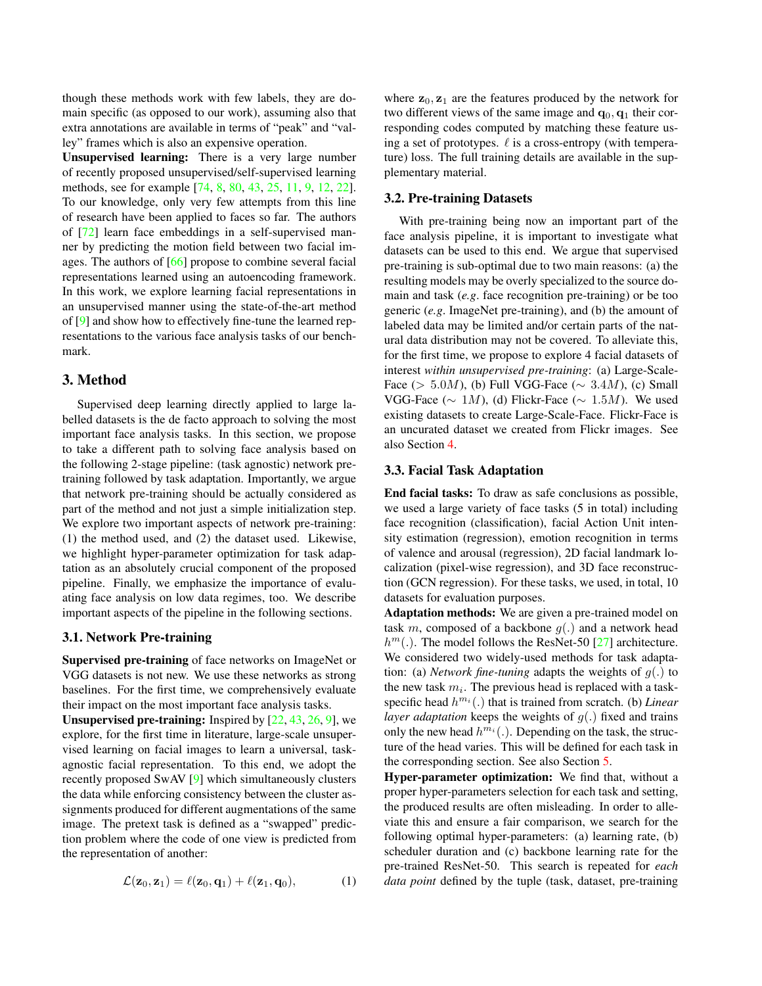<span id="page-2-0"></span>though these methods work with few labels, they are domain specific (as opposed to our work), assuming also that extra annotations are available in terms of "peak" and "valley" frames which is also an expensive operation.

Unsupervised learning: There is a very large number of recently proposed unsupervised/self-supervised learning methods, see for example [\[74,](#page-10-13) [8,](#page-8-14) [80,](#page-11-6) [43,](#page-9-15) [25,](#page-8-15) [11,](#page-8-16) [9,](#page-8-17) [12,](#page-8-18) [22\]](#page-8-19). To our knowledge, only very few attempts from this line of research have been applied to faces so far. The authors of [\[72\]](#page-10-14) learn face embeddings in a self-supervised manner by predicting the motion field between two facial images. The authors of [\[66\]](#page-10-15) propose to combine several facial representations learned using an autoencoding framework. In this work, we explore learning facial representations in an unsupervised manner using the state-of-the-art method of [\[9\]](#page-8-17) and show how to effectively fine-tune the learned representations to the various face analysis tasks of our benchmark.

## 3. Method

Supervised deep learning directly applied to large labelled datasets is the de facto approach to solving the most important face analysis tasks. In this section, we propose to take a different path to solving face analysis based on the following 2-stage pipeline: (task agnostic) network pretraining followed by task adaptation. Importantly, we argue that network pre-training should be actually considered as part of the method and not just a simple initialization step. We explore two important aspects of network pre-training: (1) the method used, and (2) the dataset used. Likewise, we highlight hyper-parameter optimization for task adaptation as an absolutely crucial component of the proposed pipeline. Finally, we emphasize the importance of evaluating face analysis on low data regimes, too. We describe important aspects of the pipeline in the following sections.

#### 3.1. Network Pre-training

Supervised pre-training of face networks on ImageNet or VGG datasets is not new. We use these networks as strong baselines. For the first time, we comprehensively evaluate their impact on the most important face analysis tasks.

**Unsupervised pre-training:** Inspired by  $[22, 43, 26, 9]$  $[22, 43, 26, 9]$  $[22, 43, 26, 9]$  $[22, 43, 26, 9]$  $[22, 43, 26, 9]$  $[22, 43, 26, 9]$  $[22, 43, 26, 9]$ , we explore, for the first time in literature, large-scale unsupervised learning on facial images to learn a universal, taskagnostic facial representation. To this end, we adopt the recently proposed SwAV [\[9\]](#page-8-17) which simultaneously clusters the data while enforcing consistency between the cluster assignments produced for different augmentations of the same image. The pretext task is defined as a "swapped" prediction problem where the code of one view is predicted from the representation of another:

$$
\mathcal{L}(\mathbf{z}_0, \mathbf{z}_1) = \ell(\mathbf{z}_0, \mathbf{q}_1) + \ell(\mathbf{z}_1, \mathbf{q}_0), \tag{1}
$$

where  $z_0$ ,  $z_1$  are the features produced by the network for two different views of the same image and  $\mathbf{q}_0$ ,  $\mathbf{q}_1$  their corresponding codes computed by matching these feature using a set of prototypes.  $\ell$  is a cross-entropy (with temperature) loss. The full training details are available in the supplementary material.

### 3.2. Pre-training Datasets

With pre-training being now an important part of the face analysis pipeline, it is important to investigate what datasets can be used to this end. We argue that supervised pre-training is sub-optimal due to two main reasons: (a) the resulting models may be overly specialized to the source domain and task (*e.g*. face recognition pre-training) or be too generic (*e.g*. ImageNet pre-training), and (b) the amount of labeled data may be limited and/or certain parts of the natural data distribution may not be covered. To alleviate this, for the first time, we propose to explore 4 facial datasets of interest *within unsupervised pre-training*: (a) Large-Scale-Face (> 5.0M), (b) Full VGG-Face ( $\sim 3.4M$ ), (c) Small VGG-Face ( $\sim 1M$ ), (d) Flickr-Face ( $\sim 1.5M$ ). We used existing datasets to create Large-Scale-Face. Flickr-Face is an uncurated dataset we created from Flickr images. See also Section [4.](#page-3-0)

#### 3.3. Facial Task Adaptation

End facial tasks: To draw as safe conclusions as possible, we used a large variety of face tasks (5 in total) including face recognition (classification), facial Action Unit intensity estimation (regression), emotion recognition in terms of valence and arousal (regression), 2D facial landmark localization (pixel-wise regression), and 3D face reconstruction (GCN regression). For these tasks, we used, in total, 10 datasets for evaluation purposes.

Adaptation methods: We are given a pre-trained model on task m, composed of a backbone  $q(.)$  and a network head  $h^m(.)$ . The model follows the ResNet-50 [\[27\]](#page-9-0) architecture. We considered two widely-used methods for task adaptation: (a) *Network fine-tuning* adapts the weights of  $g(.)$  to the new task  $m_i$ . The previous head is replaced with a taskspecific head  $h^{m_i}$ .) that is trained from scratch. (b) *Linear layer adaptation* keeps the weights of  $g(.)$  fixed and trains only the new head  $h^{m_i}(.)$ . Depending on the task, the structure of the head varies. This will be defined for each task in the corresponding section. See also Section [5.](#page-5-0)

Hyper-parameter optimization: We find that, without a proper hyper-parameters selection for each task and setting, the produced results are often misleading. In order to alleviate this and ensure a fair comparison, we search for the following optimal hyper-parameters: (a) learning rate, (b) scheduler duration and (c) backbone learning rate for the pre-trained ResNet-50. This search is repeated for *each data point* defined by the tuple (task, dataset, pre-training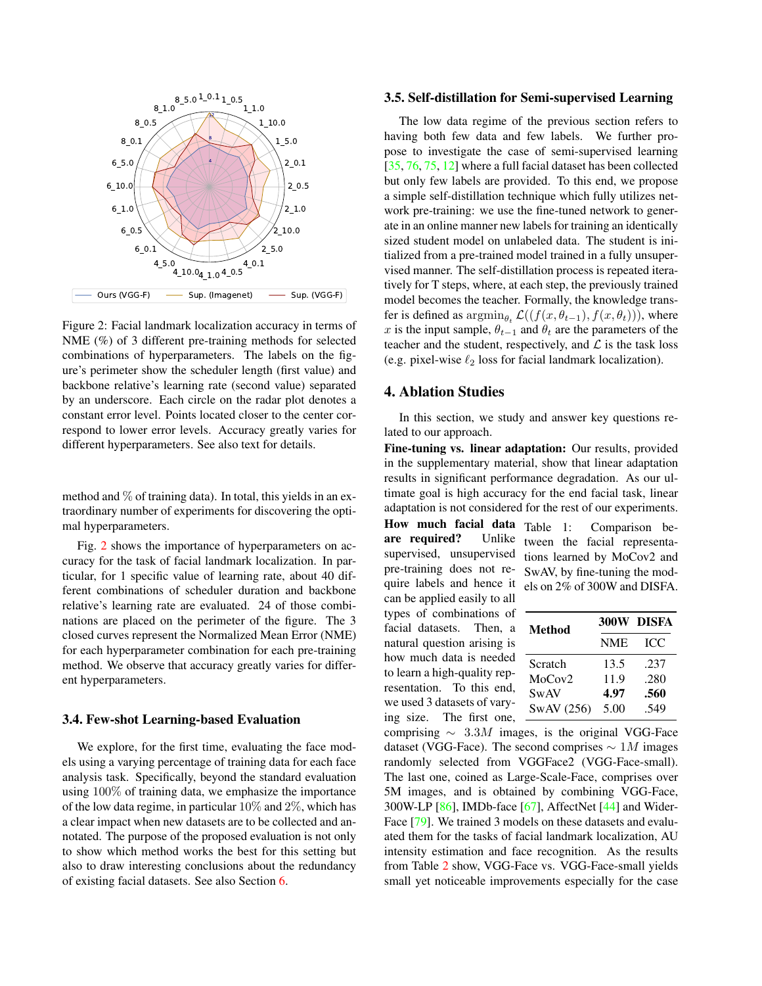<span id="page-3-4"></span><span id="page-3-1"></span>

Figure 2: Facial landmark localization accuracy in terms of NME (%) of 3 different pre-training methods for selected combinations of hyperparameters. The labels on the figure's perimeter show the scheduler length (first value) and backbone relative's learning rate (second value) separated by an underscore. Each circle on the radar plot denotes a constant error level. Points located closer to the center correspond to lower error levels. Accuracy greatly varies for different hyperparameters. See also text for details.

method and  $\%$  of training data). In total, this yields in an extraordinary number of experiments for discovering the optimal hyperparameters.

Fig. [2](#page-3-1) shows the importance of hyperparameters on accuracy for the task of facial landmark localization. In particular, for 1 specific value of learning rate, about 40 different combinations of scheduler duration and backbone relative's learning rate are evaluated. 24 of those combinations are placed on the perimeter of the figure. The 3 closed curves represent the Normalized Mean Error (NME) for each hyperparameter combination for each pre-training method. We observe that accuracy greatly varies for different hyperparameters.

#### 3.4. Few-shot Learning-based Evaluation

We explore, for the first time, evaluating the face models using a varying percentage of training data for each face analysis task. Specifically, beyond the standard evaluation using 100% of training data, we emphasize the importance of the low data regime, in particular  $10\%$  and  $2\%$ , which has a clear impact when new datasets are to be collected and annotated. The purpose of the proposed evaluation is not only to show which method works the best for this setting but also to draw interesting conclusions about the redundancy of existing facial datasets. See also Section [6.](#page-7-0)

#### <span id="page-3-3"></span>3.5. Self-distillation for Semi-supervised Learning

The low data regime of the previous section refers to having both few data and few labels. We further propose to investigate the case of semi-supervised learning [\[35,](#page-9-17) [76,](#page-10-16) [75,](#page-10-17) [12\]](#page-8-18) where a full facial dataset has been collected but only few labels are provided. To this end, we propose a simple self-distillation technique which fully utilizes network pre-training: we use the fine-tuned network to generate in an online manner new labels for training an identically sized student model on unlabeled data. The student is initialized from a pre-trained model trained in a fully unsupervised manner. The self-distillation process is repeated iteratively for T steps, where, at each step, the previously trained model becomes the teacher. Formally, the knowledge transfer is defined as  $\operatorname{argmin}_{\theta_t} \mathcal{L}((f(x, \theta_{t-1}), f(x, \theta_t))),$  where x is the input sample,  $\theta_{t-1}$  and  $\theta_t$  are the parameters of the teacher and the student, respectively, and  $\mathcal L$  is the task loss (e.g. pixel-wise  $\ell_2$  loss for facial landmark localization).

#### <span id="page-3-0"></span>4. Ablation Studies

In this section, we study and answer key questions related to our approach.

Fine-tuning vs. linear adaptation: Our results, provided in the supplementary material, show that linear adaptation results in significant performance degradation. As our ultimate goal is high accuracy for the end facial task, linear adaptation is not considered for the rest of our experiments.

How much facial data are required? Unlike supervised, unsupervised pre-training does not require labels and hence it can be applied easily to all types of combinations of facial datasets. Then, natural question arising i how much data is needed to learn a high-quality representation. To this end,

<span id="page-3-2"></span>

| Table 1:                      |  |  | Comparison be-               |  |  |  |
|-------------------------------|--|--|------------------------------|--|--|--|
|                               |  |  | tween the facial representa- |  |  |  |
|                               |  |  | tions learned by MoCov2 and  |  |  |  |
| SwAV, by fine-tuning the mod- |  |  |                              |  |  |  |
|                               |  |  | els on 2% of 300W and DISFA. |  |  |  |

| types of combinations of<br>facial datasets. Then, a    | <b>Method</b>      |            | 300W DISFA |
|---------------------------------------------------------|--------------------|------------|------------|
| natural question arising is                             |                    | <b>NME</b> | <b>ICC</b> |
| how much data is needed                                 | Scratch            | 13.5       | .237       |
| to learn a high-quality rep-                            | MoCov <sub>2</sub> | 11.9       | .280       |
| resentation. To this end,                               | <b>SwAV</b>        | 4.97       | .560       |
| we used 3 datasets of vary-<br>ing size. The first one, | SwAV (256)         | 5.00       | .549       |
|                                                         |                    |            |            |

comprising  $\sim$  3.3M images, is the original VGG-Face dataset (VGG-Face). The second comprises  $\sim 1M$  images randomly selected from VGGFace2 (VGG-Face-small). The last one, coined as Large-Scale-Face, comprises over 5M images, and is obtained by combining VGG-Face, 300W-LP [\[86\]](#page-11-7), IMDb-face [\[67\]](#page-10-18), AffectNet [\[44\]](#page-9-5) and Wider-Face [\[79\]](#page-11-8). We trained 3 models on these datasets and evaluated them for the tasks of facial landmark localization, AU intensity estimation and face recognition. As the results from Table [2](#page-4-0) show, VGG-Face vs. VGG-Face-small yields small yet noticeable improvements especially for the case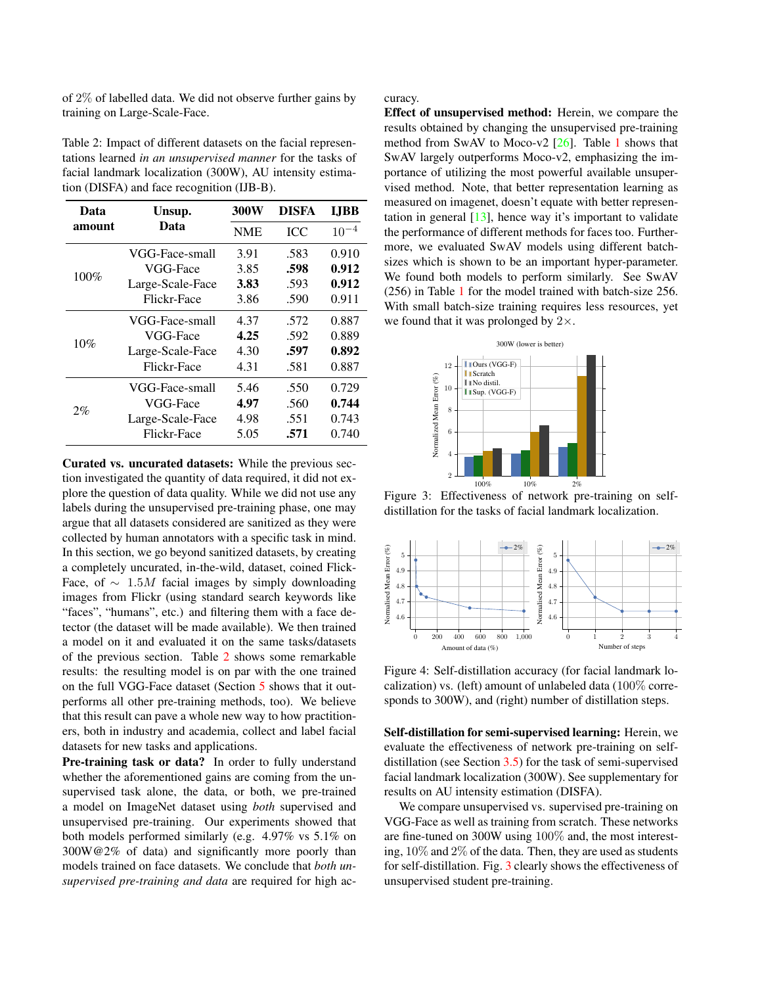<span id="page-4-3"></span>of 2% of labelled data. We did not observe further gains by training on Large-Scale-Face.

<span id="page-4-0"></span>Table 2: Impact of different datasets on the facial representations learned *in an unsupervised manner* for the tasks of facial landmark localization (300W), AU intensity estimation (DISFA) and face recognition (IJB-B).

| Data<br>Unsup. |                  | 300W       | <b>DISFA</b> | <b>LIBB</b> |
|----------------|------------------|------------|--------------|-------------|
| amount         | Data             | <b>NME</b> | <b>ICC</b>   | $10^{-4}$   |
|                | VGG-Face-small   | 3.91       | .583         | 0.910       |
| $100\%$        | VGG-Face         | 3.85       | .598         | 0.912       |
|                | Large-Scale-Face | 3.83       | .593         | 0.912       |
|                | Flickr-Face      | 3.86       | .590         | 0.911       |
|                | VGG-Face-small   | 4.37       | .572         | 0.887       |
| 10%            | VGG-Face         | 4.25       | .592         | 0.889       |
|                | Large-Scale-Face | 4.30       | .597         | 0.892       |
|                | Flickr-Face      | 4.31       | .581         | 0.887       |
|                | VGG-Face-small   | 5.46       | .550         | 0.729       |
| $2\%$          | VGG-Face         | 4.97       | .560         | 0.744       |
|                | Large-Scale-Face | 4.98       | .551         | 0.743       |
|                | Flickr-Face      | 5.05       | .571         | 0.740       |

Curated vs. uncurated datasets: While the previous section investigated the quantity of data required, it did not explore the question of data quality. While we did not use any labels during the unsupervised pre-training phase, one may argue that all datasets considered are sanitized as they were collected by human annotators with a specific task in mind. In this section, we go beyond sanitized datasets, by creating a completely uncurated, in-the-wild, dataset, coined Flick-Face, of  $\sim 1.5M$  facial images by simply downloading images from Flickr (using standard search keywords like "faces", "humans", etc.) and filtering them with a face detector (the dataset will be made available). We then trained a model on it and evaluated it on the same tasks/datasets of the previous section. Table [2](#page-4-0) shows some remarkable results: the resulting model is on par with the one trained on the full VGG-Face dataset (Section [5](#page-5-0) shows that it outperforms all other pre-training methods, too). We believe that this result can pave a whole new way to how practitioners, both in industry and academia, collect and label facial datasets for new tasks and applications.

Pre-training task or data? In order to fully understand whether the aforementioned gains are coming from the unsupervised task alone, the data, or both, we pre-trained a model on ImageNet dataset using *both* supervised and unsupervised pre-training. Our experiments showed that both models performed similarly (e.g. 4.97% vs 5.1% on 300W@2% of data) and significantly more poorly than models trained on face datasets. We conclude that *both unsupervised pre-training and data* are required for high accuracy.

Effect of unsupervised method: Herein, we compare the results obtained by changing the unsupervised pre-training method from SwAV to Moco-v2 [\[26\]](#page-9-16). Table [1](#page-3-2) shows that SwAV largely outperforms Moco-v2, emphasizing the importance of utilizing the most powerful available unsupervised method. Note, that better representation learning as measured on imagenet, doesn't equate with better representation in general  $[13]$ , hence way it's important to validate the performance of different methods for faces too. Furthermore, we evaluated SwAV models using different batchsizes which is shown to be an important hyper-parameter. We found both models to perform similarly. See SwAV (256) in Table [1](#page-3-2) for the model trained with batch-size 256. With small batch-size training requires less resources, yet we found that it was prolonged by  $2\times$ .

<span id="page-4-1"></span>

Figure 3: Effectiveness of network pre-training on selfdistillation for the tasks of facial landmark localization.

<span id="page-4-2"></span>

Figure 4: Self-distillation accuracy (for facial landmark localization) vs. (left) amount of unlabeled data (100% corresponds to 300W), and (right) number of distillation steps.

Self-distillation for semi-supervised learning: Herein, we evaluate the effectiveness of network pre-training on selfdistillation (see Section [3.5\)](#page-3-3) for the task of semi-supervised facial landmark localization (300W). See supplementary for results on AU intensity estimation (DISFA).

We compare unsupervised vs. supervised pre-training on VGG-Face as well as training from scratch. These networks are fine-tuned on 300W using 100% and, the most interesting, 10% and 2% of the data. Then, they are used as students for self-distillation. Fig. [3](#page-4-1) clearly shows the effectiveness of unsupervised student pre-training.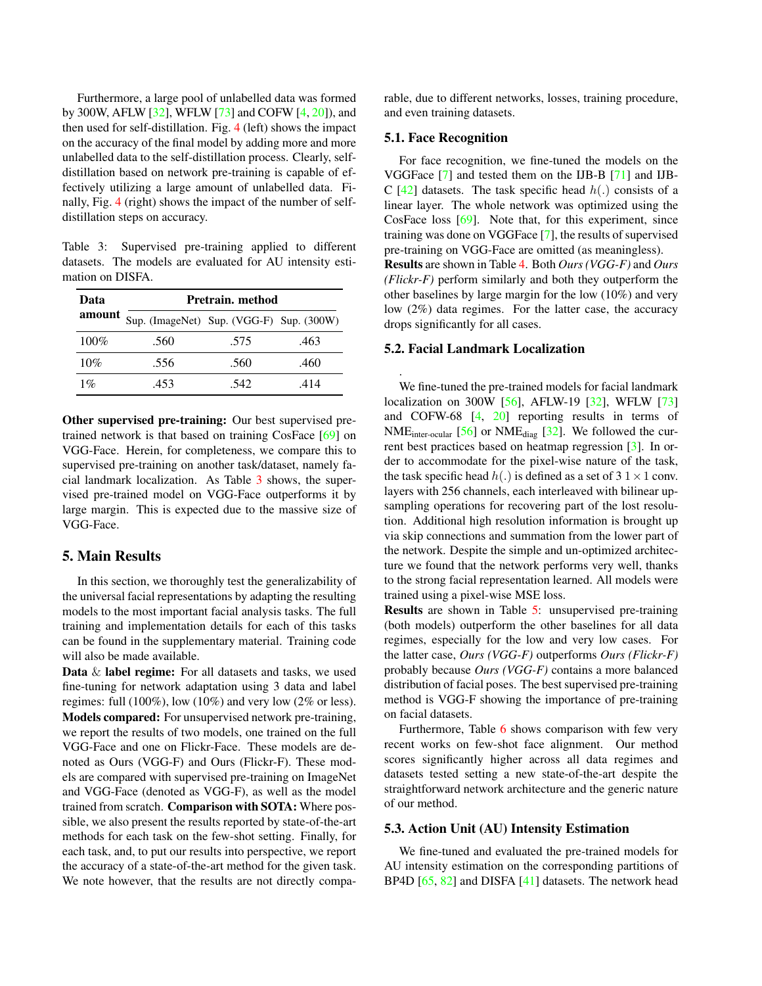<span id="page-5-2"></span>Furthermore, a large pool of unlabelled data was formed by 300W, AFLW [\[32\]](#page-9-18), WFLW [\[73\]](#page-10-19) and COFW [\[4,](#page-8-21) [20\]](#page-8-22)), and then used for self-distillation. Fig. [4](#page-4-2) (left) shows the impact on the accuracy of the final model by adding more and more unlabelled data to the self-distillation process. Clearly, selfdistillation based on network pre-training is capable of effectively utilizing a large amount of unlabelled data. Finally, Fig. [4](#page-4-2) (right) shows the impact of the number of selfdistillation steps on accuracy.

<span id="page-5-1"></span>Table 3: Supervised pre-training applied to different datasets. The models are evaluated for AU intensity estimation on DISFA.

| Data    | Pretrain. method                         |      |      |  |  |
|---------|------------------------------------------|------|------|--|--|
| amount  | Sup. (ImageNet) Sup. (VGG-F) Sup. (300W) |      |      |  |  |
| $100\%$ | .560                                     | .575 | .463 |  |  |
| 10%     | .556                                     | .560 | .460 |  |  |
| $1\%$   | 453                                      | -542 | 414  |  |  |

Other supervised pre-training: Our best supervised pretrained network is that based on training CosFace [\[69\]](#page-10-4) on VGG-Face. Herein, for completeness, we compare this to supervised pre-training on another task/dataset, namely facial landmark localization. As Table [3](#page-5-1) shows, the supervised pre-trained model on VGG-Face outperforms it by large margin. This is expected due to the massive size of VGG-Face.

### <span id="page-5-0"></span>5. Main Results

In this section, we thoroughly test the generalizability of the universal facial representations by adapting the resulting models to the most important facial analysis tasks. The full training and implementation details for each of this tasks can be found in the supplementary material. Training code will also be made available.

Data & label regime: For all datasets and tasks, we used fine-tuning for network adaptation using 3 data and label regimes: full  $(100\%)$ , low  $(10\%)$  and very low  $(2\% \text{ or less})$ . Models compared: For unsupervised network pre-training, we report the results of two models, one trained on the full VGG-Face and one on Flickr-Face. These models are denoted as Ours (VGG-F) and Ours (Flickr-F). These models are compared with supervised pre-training on ImageNet and VGG-Face (denoted as VGG-F), as well as the model trained from scratch. Comparison with SOTA: Where possible, we also present the results reported by state-of-the-art methods for each task on the few-shot setting. Finally, for each task, and, to put our results into perspective, we report the accuracy of a state-of-the-art method for the given task. We note however, that the results are not directly comparable, due to different networks, losses, training procedure, and even training datasets.

#### 5.1. Face Recognition

For face recognition, we fine-tuned the models on the VGGFace [\[7\]](#page-8-5) and tested them on the IJB-B [\[71\]](#page-10-20) and IJB-C [\[42\]](#page-9-19) datasets. The task specific head  $h(.)$  consists of a linear layer. The whole network was optimized using the CosFace loss [\[69\]](#page-10-4). Note that, for this experiment, since training was done on VGGFace [\[7\]](#page-8-5), the results of supervised pre-training on VGG-Face are omitted (as meaningless). Results are shown in Table [4.](#page-6-0) Both *Ours (VGG-F)* and *Ours (Flickr-F)* perform similarly and both they outperform the other baselines by large margin for the low (10%) and very low (2%) data regimes. For the latter case, the accuracy drops significantly for all cases.

### 5.2. Facial Landmark Localization

.

We fine-tuned the pre-trained models for facial landmark localization on 300W [\[56\]](#page-10-21), AFLW-19 [\[32\]](#page-9-18), WFLW [\[73\]](#page-10-19) and COFW-68 [\[4,](#page-8-21) [20\]](#page-8-22) reporting results in terms of  $NME<sub>inter-ocular</sub>$  [\[56\]](#page-10-21) or  $NME<sub>diag</sub>$  [\[32\]](#page-9-18). We followed the current best practices based on heatmap regression [\[3\]](#page-8-4). In order to accommodate for the pixel-wise nature of the task, the task specific head  $h(.)$  is defined as a set of 3  $1 \times 1$  conv. layers with 256 channels, each interleaved with bilinear upsampling operations for recovering part of the lost resolution. Additional high resolution information is brought up via skip connections and summation from the lower part of the network. Despite the simple and un-optimized architecture we found that the network performs very well, thanks to the strong facial representation learned. All models were trained using a pixel-wise MSE loss.

Results are shown in Table [5:](#page-6-1) unsupervised pre-training (both models) outperform the other baselines for all data regimes, especially for the low and very low cases. For the latter case, *Ours (VGG-F)* outperforms *Ours (Flickr-F)* probably because *Ours (VGG-F)* contains a more balanced distribution of facial poses. The best supervised pre-training method is VGG-F showing the importance of pre-training on facial datasets.

Furthermore, Table [6](#page-6-2) shows comparison with few very recent works on few-shot face alignment. Our method scores significantly higher across all data regimes and datasets tested setting a new state-of-the-art despite the straightforward network architecture and the generic nature of our method.

### 5.3. Action Unit (AU) Intensity Estimation

We fine-tuned and evaluated the pre-trained models for AU intensity estimation on the corresponding partitions of BP4D [\[65,](#page-10-22) [82\]](#page-11-9) and DISFA [\[41\]](#page-9-20) datasets. The network head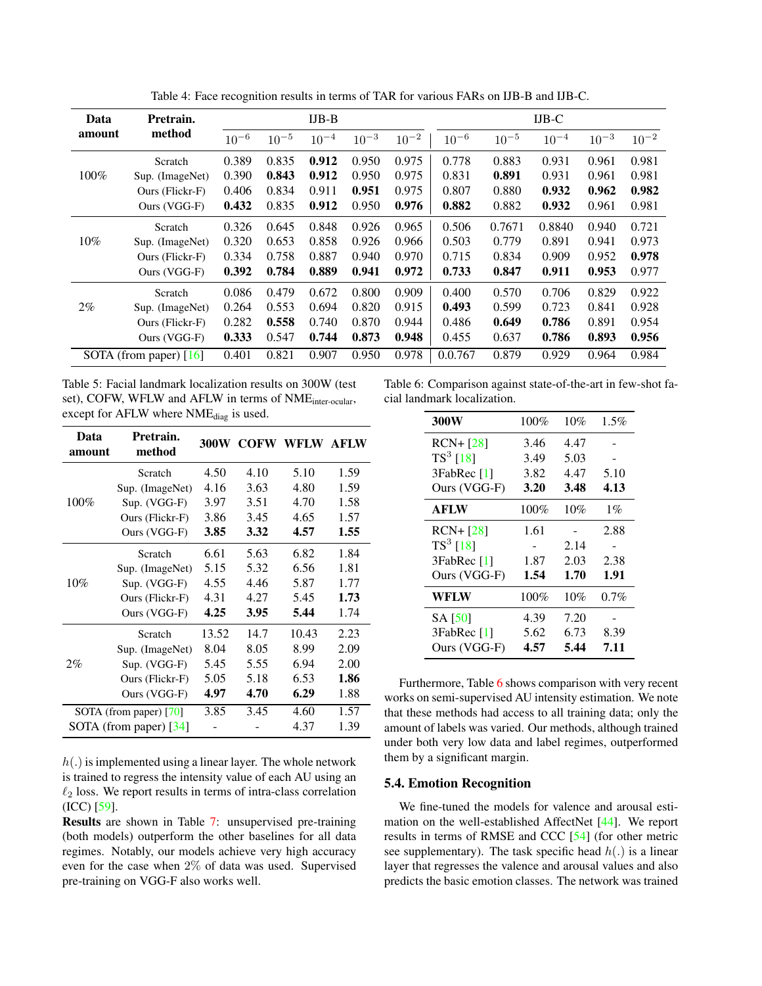<span id="page-6-3"></span><span id="page-6-0"></span>

| Data<br>Pretrain. |                        | $IJB-B$   |           |           | $IJB-C$   |           |           |           |           |           |           |
|-------------------|------------------------|-----------|-----------|-----------|-----------|-----------|-----------|-----------|-----------|-----------|-----------|
| amount            | method                 | $10^{-6}$ | $10^{-5}$ | $10^{-4}$ | $10^{-3}$ | $10^{-2}$ | $10^{-6}$ | $10^{-5}$ | $10^{-4}$ | $10^{-3}$ | $10^{-2}$ |
|                   | Scratch                | 0.389     | 0.835     | 0.912     | 0.950     | 0.975     | 0.778     | 0.883     | 0.931     | 0.961     | 0.981     |
| $100\%$           | Sup. (ImageNet)        | 0.390     | 0.843     | 0.912     | 0.950     | 0.975     | 0.831     | 0.891     | 0.931     | 0.961     | 0.981     |
|                   | Ours (Flickr-F)        | 0.406     | 0.834     | 0.911     | 0.951     | 0.975     | 0.807     | 0.880     | 0.932     | 0.962     | 0.982     |
|                   | Ours (VGG-F)           | 0.432     | 0.835     | 0.912     | 0.950     | 0.976     | 0.882     | 0.882     | 0.932     | 0.961     | 0.981     |
|                   | Scratch                | 0.326     | 0.645     | 0.848     | 0.926     | 0.965     | 0.506     | 0.7671    | 0.8840    | 0.940     | 0.721     |
| $10\%$            | Sup. (ImageNet)        | 0.320     | 0.653     | 0.858     | 0.926     | 0.966     | 0.503     | 0.779     | 0.891     | 0.941     | 0.973     |
|                   | Ours (Flickr-F)        | 0.334     | 0.758     | 0.887     | 0.940     | 0.970     | 0.715     | 0.834     | 0.909     | 0.952     | 0.978     |
|                   | Ours (VGG-F)           | 0.392     | 0.784     | 0.889     | 0.941     | 0.972     | 0.733     | 0.847     | 0.911     | 0.953     | 0.977     |
|                   | Scratch                | 0.086     | 0.479     | 0.672     | 0.800     | 0.909     | 0.400     | 0.570     | 0.706     | 0.829     | 0.922     |
| $2\%$             | Sup. (ImageNet)        | 0.264     | 0.553     | 0.694     | 0.820     | 0.915     | 0.493     | 0.599     | 0.723     | 0.841     | 0.928     |
|                   | Ours (Flickr-F)        | 0.282     | 0.558     | 0.740     | 0.870     | 0.944     | 0.486     | 0.649     | 0.786     | 0.891     | 0.954     |
|                   | Ours (VGG-F)           | 0.333     | 0.547     | 0.744     | 0.873     | 0.948     | 0.455     | 0.637     | 0.786     | 0.893     | 0.956     |
|                   | SOTA (from paper) [16] | 0.401     | 0.821     | 0.907     | 0.950     | 0.978     | 0.0.767   | 0.879     | 0.929     | 0.964     | 0.984     |

Table 4: Face recognition results in terms of TAR for various FARs on IJB-B and IJB-C.

<span id="page-6-1"></span>Table 5: Facial landmark localization results on 300W (test set), COFW, WFLW and AFLW in terms of NME<sub>inter-ocular</sub>, except for AFLW where NME<sub>diag</sub> is used.

| Data<br>amount | Pretrain.<br>method    | 300W  |      | <b>COFW WFLW AFLW</b> |      |
|----------------|------------------------|-------|------|-----------------------|------|
|                | Scratch                | 4.50  | 4.10 | 5.10                  | 1.59 |
|                | Sup. (ImageNet)        | 4.16  | 3.63 | 4.80                  | 1.59 |
| $100\%$        | Sup. (VGG-F)           | 3.97  | 3.51 | 4.70                  | 1.58 |
|                | Ours (Flickr-F)        | 3.86  | 3.45 | 4.65                  | 1.57 |
|                | Ours (VGG-F)           | 3.85  | 3.32 | 4.57                  | 1.55 |
|                | Scratch                | 6.61  | 5.63 | 6.82                  | 1.84 |
|                | Sup. (ImageNet)        | 5.15  | 5.32 | 6.56                  | 1.81 |
| 10%            | Sup. (VGG-F)           | 4.55  | 4.46 | 5.87                  | 1.77 |
|                | Ours (Flickr-F)        | 4.31  | 4.27 | 5.45                  | 1.73 |
|                | Ours (VGG-F)           | 4.25  | 3.95 | 5.44                  | 1.74 |
|                | Scratch                | 13.52 | 14.7 | 10.43                 | 2.23 |
|                | Sup. (ImageNet)        | 8.04  | 8.05 | 8.99                  | 2.09 |
| $2\%$          | Sup. (VGG-F)           | 5.45  | 5.55 | 6.94                  | 2.00 |
|                | Ours (Flickr-F)        | 5.05  | 5.18 | 6.53                  | 1.86 |
|                | Ours (VGG-F)           | 4.97  | 4.70 | 6.29                  | 1.88 |
|                | SOTA (from paper) [70] | 3.85  | 3.45 | 4.60                  | 1.57 |
|                | SOTA (from paper) [34] |       |      | 4.37                  | 1.39 |

 $h(.)$  is implemented using a linear layer. The whole network is trained to regress the intensity value of each AU using an  $\ell_2$  loss. We report results in terms of intra-class correlation (ICC) [\[59\]](#page-10-23).

Results are shown in Table [7:](#page-7-1) unsupervised pre-training (both models) outperform the other baselines for all data regimes. Notably, our models achieve very high accuracy even for the case when 2% of data was used. Supervised pre-training on VGG-F also works well.

<span id="page-6-2"></span>Table 6: Comparison against state-of-the-art in few-shot facial landmark localization.

| 300W                   | $100\%$ | 10%  | $1.5\%$ |
|------------------------|---------|------|---------|
| $RCN+[28]$             | 3.46    | 4.47 |         |
| $TS^3$ [18]            | 3.49    | 5.03 |         |
| 3FabRec <sup>[1]</sup> | 3.82    | 4.47 | 5.10    |
| Ours (VGG-F)           | 3.20    | 3.48 | 4.13    |
| <b>AFLW</b>            | 100%    | 10%  | $1\%$   |
| $RCN+[28]$             | 1.61    |      | 2.88    |
| $TS^3$ [18]            |         | 2.14 |         |
| 3FabRec <sup>[1]</sup> | 1.87    | 2.03 | 2.38    |
| Ours (VGG-F)           | 1.54    | 1.70 | 1.91    |
| WFLW                   | 100%    | 10%  | $0.7\%$ |
| SA [50]                | 4.39    | 7.20 |         |
| 3FabRec <sup>[1]</sup> | 5.62    | 6.73 | 8.39    |
| Ours (VGG-F)           | 4.57    | 5.44 | 7.11    |

Furthermore, Table [6](#page-6-2) shows comparison with very recent works on semi-supervised AU intensity estimation. We note that these methods had access to all training data; only the amount of labels was varied. Our methods, although trained under both very low data and label regimes, outperformed them by a significant margin.

### 5.4. Emotion Recognition

We fine-tuned the models for valence and arousal estimation on the well-established AffectNet [\[44\]](#page-9-5). We report results in terms of RMSE and CCC [\[54\]](#page-10-24) (for other metric see supplementary). The task specific head  $h(.)$  is a linear layer that regresses the valence and arousal values and also predicts the basic emotion classes. The network was trained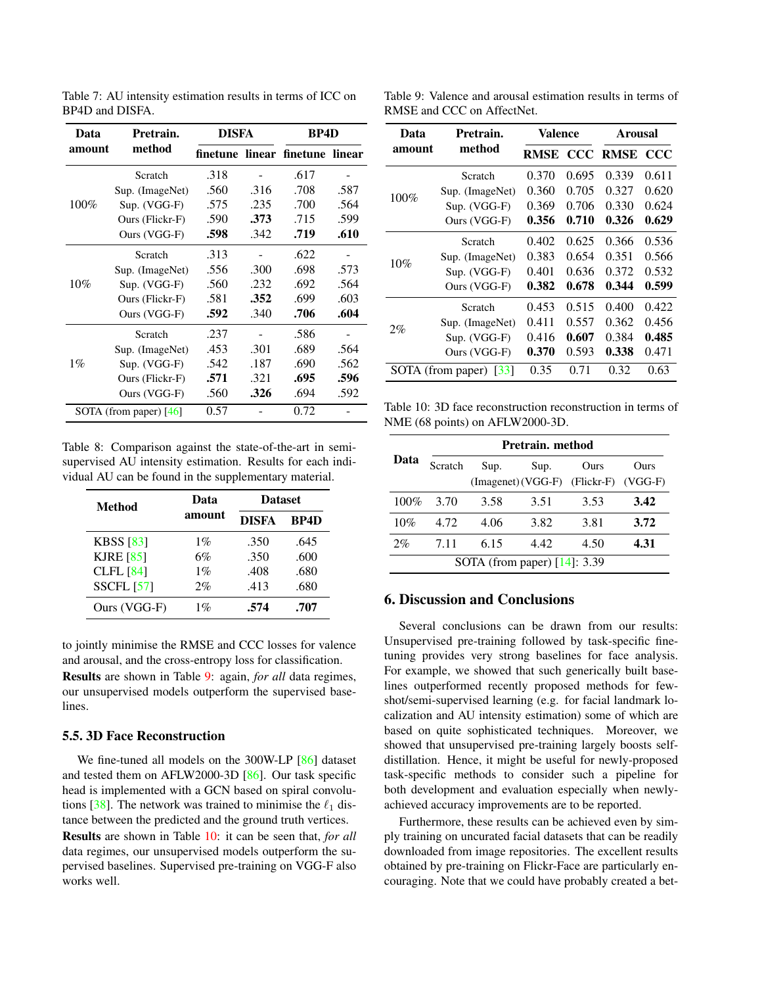| Data    | Pretrain.              | <b>DISFA</b> |      | <b>BP4D</b>                     |      |  |
|---------|------------------------|--------------|------|---------------------------------|------|--|
| amount  | method                 |              |      | finetune linear finetune linear |      |  |
|         | Scratch                | .318         |      | .617                            |      |  |
|         | Sup. (ImageNet)        | .560         | .316 | .708                            | .587 |  |
| $100\%$ | $Sup. (VGG-F)$         | .575         | .235 | .700                            | .564 |  |
|         | Ours (Flickr-F)        | .590         | .373 | .715                            | .599 |  |
|         | Ours (VGG-F)           | .598         | .342 | .719                            | .610 |  |
|         | Scratch                | .313         |      | .622                            |      |  |
|         | Sup. (ImageNet)        | .556         | .300 | .698                            | .573 |  |
| 10%     | Sup. (VGG-F)           | .560         | .232 | .692                            | .564 |  |
|         | Ours (Flickr-F)        | .581         | .352 | .699                            | .603 |  |
|         | Ours (VGG-F)           | .592         | .340 | .706                            | .604 |  |
|         | Scratch                | .237         |      | .586                            |      |  |
|         | Sup. (ImageNet)        | .453         | .301 | .689                            | .564 |  |
| $1\%$   | Sup. (VGG-F)           | .542         | .187 | .690                            | .562 |  |
|         | Ours (Flickr-F)        | .571         | .321 | .695                            | .596 |  |
|         | Ours (VGG-F)           | .560         | .326 | .694                            | .592 |  |
|         | SOTA (from paper) [46] | 0.57         |      | 0.72                            |      |  |

<span id="page-7-4"></span><span id="page-7-1"></span>Table 7: AU intensity estimation results in terms of ICC on BP4D and DISFA.

Table 8: Comparison against the state-of-the-art in semisupervised AU intensity estimation. Results for each individual AU can be found in the supplementary material.

| <b>Method</b>    | Data   | <b>Dataset</b> |             |  |
|------------------|--------|----------------|-------------|--|
|                  | amount | <b>DISFA</b>   | <b>BP4D</b> |  |
| <b>KBSS</b> [83] | $1\%$  | .350           | .645        |  |
| <b>KJRE</b> [85] | 6%     | .350           | .600        |  |
| <b>CLFL</b> [84] | $1\%$  | .408           | .680        |  |
| $SSCFL$ [57]     | 2%     | .413           | .680        |  |
| Ours (VGG-F)     | $1\%$  | .574           | .707        |  |

to jointly minimise the RMSE and CCC losses for valence and arousal, and the cross-entropy loss for classification.

Results are shown in Table [9:](#page-7-2) again, *for all* data regimes, our unsupervised models outperform the supervised baselines.

#### 5.5. 3D Face Reconstruction

We fine-tuned all models on the 300W-LP [\[86\]](#page-11-7) dataset and tested them on AFLW2000-3D [\[86\]](#page-11-7). Our task specific head is implemented with a GCN based on spiral convolu-tions [\[38\]](#page-9-25). The network was trained to minimise the  $\ell_1$  distance between the predicted and the ground truth vertices. Results are shown in Table [10:](#page-7-3) it can be seen that, *for all* data regimes, our unsupervised models outperform the supervised baselines. Supervised pre-training on VGG-F also works well.

<span id="page-7-2"></span>Table 9: Valence and arousal estimation results in terms of RMSE and CCC on AffectNet.

| Data   | Pretrain.              | Valence         |       | <b>Arousal</b>  |       |
|--------|------------------------|-----------------|-------|-----------------|-------|
| amount | method                 | <b>RMSE CCC</b> |       | <b>RMSE CCC</b> |       |
|        | Scratch                | 0.370           | 0.695 | 0.339           | 0.611 |
| 100%   | Sup. (ImageNet)        | 0.360           | 0.705 | 0.327           | 0.620 |
|        | Sup. (VGG-F)           | 0.369           | 0.706 | 0.330           | 0.624 |
|        | Ours (VGG-F)           | 0.356           | 0.710 | 0.326           | 0.629 |
|        | Scratch                | 0.402           | 0.625 | 0.366           | 0.536 |
|        | Sup. (ImageNet)        | 0.383           | 0.654 | 0.351           | 0.566 |
| 10%    | Sup. (VGG-F)           | 0.401           | 0.636 | 0.372           | 0.532 |
|        | Ours (VGG-F)           | 0.382           | 0.678 | 0.344           | 0.599 |
|        | Scratch                | 0.453           | 0.515 | 0.400           | 0.422 |
|        | Sup. (ImageNet)        | 0.411           | 0.557 | 0.362           | 0.456 |
| $2\%$  | Sup. (VGG-F)           | 0.416           | 0.607 | 0.384           | 0.485 |
|        | Ours (VGG-F)           | 0.370           | 0.593 | 0.338           | 0.471 |
|        | SOTA (from paper) [33] | 0.35            | 0.71  | 0.32            | 0.63  |

<span id="page-7-3"></span>Table 10: 3D face reconstruction reconstruction in terms of NME (68 points) on AFLW2000-3D.

|                                 | Pretrain. method |      |      |                                          |                   |  |  |
|---------------------------------|------------------|------|------|------------------------------------------|-------------------|--|--|
| Data                            | Scratch          | Sup. | Sup. | Ours<br>$(Imagenet)(VGG-F)$ $(Flickr-F)$ | Ours<br>$(VGG-F)$ |  |  |
| $100\%$                         | 3.70             | 3.58 | 3.51 | 3.53                                     | 3.42              |  |  |
| 10%                             | 4.72             | 4.06 | 3.82 | 3.81                                     | 3.72              |  |  |
| 2%                              | 7.11             | 6.15 | 4.42 | 4.50                                     | 4.31              |  |  |
| SOTA (from paper) $[14]$ : 3.39 |                  |      |      |                                          |                   |  |  |

## <span id="page-7-0"></span>6. Discussion and Conclusions

Several conclusions can be drawn from our results: Unsupervised pre-training followed by task-specific finetuning provides very strong baselines for face analysis. For example, we showed that such generically built baselines outperformed recently proposed methods for fewshot/semi-supervised learning (e.g. for facial landmark localization and AU intensity estimation) some of which are based on quite sophisticated techniques. Moreover, we showed that unsupervised pre-training largely boosts selfdistillation. Hence, it might be useful for newly-proposed task-specific methods to consider such a pipeline for both development and evaluation especially when newlyachieved accuracy improvements are to be reported.

Furthermore, these results can be achieved even by simply training on uncurated facial datasets that can be readily downloaded from image repositories. The excellent results obtained by pre-training on Flickr-Face are particularly encouraging. Note that we could have probably created a bet-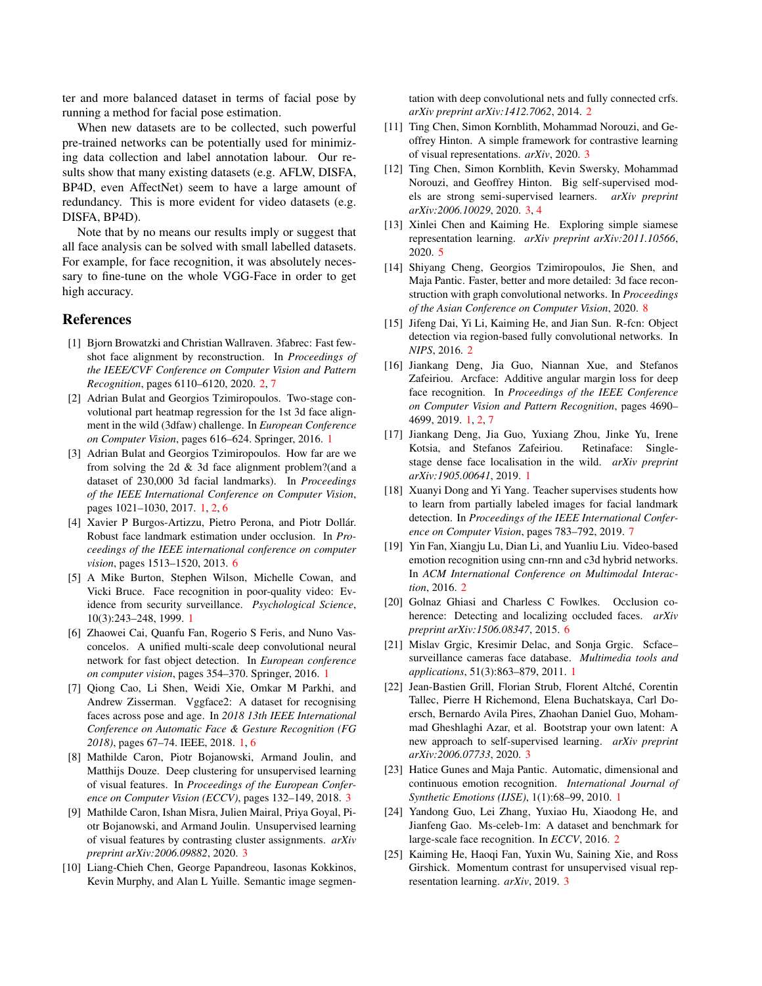ter and more balanced dataset in terms of facial pose by running a method for facial pose estimation.

When new datasets are to be collected, such powerful pre-trained networks can be potentially used for minimizing data collection and label annotation labour. Our results show that many existing datasets (e.g. AFLW, DISFA, BP4D, even AffectNet) seem to have a large amount of redundancy. This is more evident for video datasets (e.g. DISFA, BP4D).

Note that by no means our results imply or suggest that all face analysis can be solved with small labelled datasets. For example, for face recognition, it was absolutely necessary to fine-tune on the whole VGG-Face in order to get high accuracy.

#### References

- <span id="page-8-13"></span>[1] Bjorn Browatzki and Christian Wallraven. 3fabrec: Fast fewshot face alignment by reconstruction. In *Proceedings of the IEEE/CVF Conference on Computer Vision and Pattern Recognition*, pages 6110–6120, 2020. [2,](#page-1-0) [7](#page-6-3)
- <span id="page-8-3"></span>[2] Adrian Bulat and Georgios Tzimiropoulos. Two-stage convolutional part heatmap regression for the 1st 3d face alignment in the wild (3dfaw) challenge. In *European Conference on Computer Vision*, pages 616–624. Springer, 2016. [1](#page-0-0)
- <span id="page-8-4"></span>[3] Adrian Bulat and Georgios Tzimiropoulos. How far are we from solving the 2d & 3d face alignment problem?(and a dataset of 230,000 3d facial landmarks). In *Proceedings of the IEEE International Conference on Computer Vision*, pages 1021–1030, 2017. [1,](#page-0-0) [2,](#page-1-0) [6](#page-5-2)
- <span id="page-8-21"></span>[4] Xavier P Burgos-Artizzu, Pietro Perona, and Piotr Dollár. Robust face landmark estimation under occlusion. In *Proceedings of the IEEE international conference on computer vision*, pages 1513–1520, 2013. [6](#page-5-2)
- <span id="page-8-7"></span>[5] A Mike Burton, Stephen Wilson, Michelle Cowan, and Vicki Bruce. Face recognition in poor-quality video: Evidence from security surveillance. *Psychological Science*, 10(3):243–248, 1999. [1](#page-0-0)
- <span id="page-8-0"></span>[6] Zhaowei Cai, Quanfu Fan, Rogerio S Feris, and Nuno Vasconcelos. A unified multi-scale deep convolutional neural network for fast object detection. In *European conference on computer vision*, pages 354–370. Springer, 2016. [1](#page-0-0)
- <span id="page-8-5"></span>[7] Qiong Cao, Li Shen, Weidi Xie, Omkar M Parkhi, and Andrew Zisserman. Vggface2: A dataset for recognising faces across pose and age. In *2018 13th IEEE International Conference on Automatic Face & Gesture Recognition (FG 2018)*, pages 67–74. IEEE, 2018. [1,](#page-0-0) [6](#page-5-2)
- <span id="page-8-14"></span>[8] Mathilde Caron, Piotr Bojanowski, Armand Joulin, and Matthijs Douze. Deep clustering for unsupervised learning of visual features. In *Proceedings of the European Conference on Computer Vision (ECCV)*, pages 132–149, 2018. [3](#page-2-0)
- <span id="page-8-17"></span>[9] Mathilde Caron, Ishan Misra, Julien Mairal, Priya Goyal, Piotr Bojanowski, and Armand Joulin. Unsupervised learning of visual features by contrasting cluster assignments. *arXiv preprint arXiv:2006.09882*, 2020. [3](#page-2-0)
- <span id="page-8-10"></span>[10] Liang-Chieh Chen, George Papandreou, Iasonas Kokkinos, Kevin Murphy, and Alan L Yuille. Semantic image segmen-

tation with deep convolutional nets and fully connected crfs. *arXiv preprint arXiv:1412.7062*, 2014. [2](#page-1-0)

- <span id="page-8-16"></span>[11] Ting Chen, Simon Kornblith, Mohammad Norouzi, and Geoffrey Hinton. A simple framework for contrastive learning of visual representations. *arXiv*, 2020. [3](#page-2-0)
- <span id="page-8-18"></span>[12] Ting Chen, Simon Kornblith, Kevin Swersky, Mohammad Norouzi, and Geoffrey Hinton. Big self-supervised models are strong semi-supervised learners. *arXiv preprint arXiv:2006.10029*, 2020. [3,](#page-2-0) [4](#page-3-4)
- <span id="page-8-20"></span>[13] Xinlei Chen and Kaiming He. Exploring simple siamese representation learning. *arXiv preprint arXiv:2011.10566*, 2020. [5](#page-4-3)
- <span id="page-8-24"></span>[14] Shiyang Cheng, Georgios Tzimiropoulos, Jie Shen, and Maja Pantic. Faster, better and more detailed: 3d face reconstruction with graph convolutional networks. In *Proceedings of the Asian Conference on Computer Vision*, 2020. [8](#page-7-4)
- <span id="page-8-9"></span>[15] Jifeng Dai, Yi Li, Kaiming He, and Jian Sun. R-fcn: Object detection via region-based fully convolutional networks. In *NIPS*, 2016. [2](#page-1-0)
- <span id="page-8-2"></span>[16] Jiankang Deng, Jia Guo, Niannan Xue, and Stefanos Zafeiriou. Arcface: Additive angular margin loss for deep face recognition. In *Proceedings of the IEEE Conference on Computer Vision and Pattern Recognition*, pages 4690– 4699, 2019. [1,](#page-0-0) [2,](#page-1-0) [7](#page-6-3)
- <span id="page-8-1"></span>[17] Jiankang Deng, Jia Guo, Yuxiang Zhou, Jinke Yu, Irene Kotsia, and Stefanos Zafeiriou. Retinaface: Singlestage dense face localisation in the wild. *arXiv preprint arXiv:1905.00641*, 2019. [1](#page-0-0)
- <span id="page-8-23"></span>[18] Xuanyi Dong and Yi Yang. Teacher supervises students how to learn from partially labeled images for facial landmark detection. In *Proceedings of the IEEE International Conference on Computer Vision*, pages 783–792, 2019. [7](#page-6-3)
- <span id="page-8-12"></span>[19] Yin Fan, Xiangju Lu, Dian Li, and Yuanliu Liu. Video-based emotion recognition using cnn-rnn and c3d hybrid networks. In *ACM International Conference on Multimodal Interaction*, 2016. [2](#page-1-0)
- <span id="page-8-22"></span>[20] Golnaz Ghiasi and Charless C Fowlkes. Occlusion coherence: Detecting and localizing occluded faces. *arXiv preprint arXiv:1506.08347*, 2015. [6](#page-5-2)
- <span id="page-8-8"></span>[21] Mislav Grgic, Kresimir Delac, and Sonja Grgic. Scface– surveillance cameras face database. *Multimedia tools and applications*, 51(3):863–879, 2011. [1](#page-0-0)
- <span id="page-8-19"></span>[22] Jean-Bastien Grill, Florian Strub, Florent Altché, Corentin Tallec, Pierre H Richemond, Elena Buchatskaya, Carl Doersch, Bernardo Avila Pires, Zhaohan Daniel Guo, Mohammad Gheshlaghi Azar, et al. Bootstrap your own latent: A new approach to self-supervised learning. *arXiv preprint arXiv:2006.07733*, 2020. [3](#page-2-0)
- <span id="page-8-6"></span>[23] Hatice Gunes and Maja Pantic. Automatic, dimensional and continuous emotion recognition. *International Journal of Synthetic Emotions (IJSE)*, 1(1):68–99, 2010. [1](#page-0-0)
- <span id="page-8-11"></span>[24] Yandong Guo, Lei Zhang, Yuxiao Hu, Xiaodong He, and Jianfeng Gao. Ms-celeb-1m: A dataset and benchmark for large-scale face recognition. In *ECCV*, 2016. [2](#page-1-0)
- <span id="page-8-15"></span>[25] Kaiming He, Haoqi Fan, Yuxin Wu, Saining Xie, and Ross Girshick. Momentum contrast for unsupervised visual representation learning. *arXiv*, 2019. [3](#page-2-0)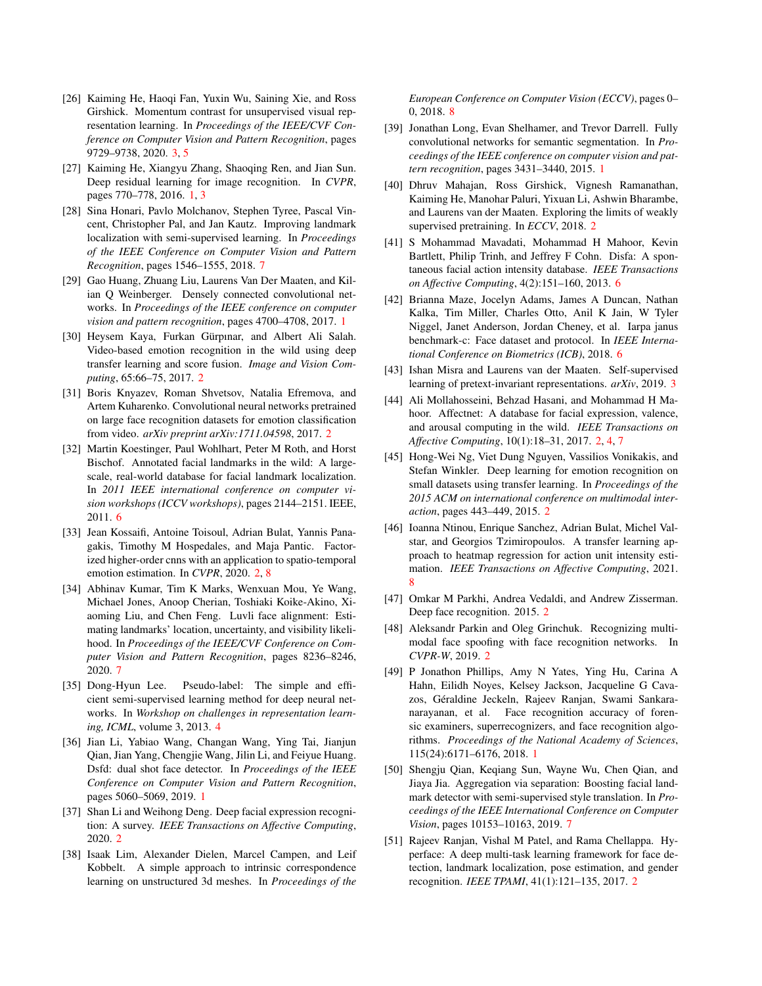- <span id="page-9-16"></span>[26] Kaiming He, Haoqi Fan, Yuxin Wu, Saining Xie, and Ross Girshick. Momentum contrast for unsupervised visual representation learning. In *Proceedings of the IEEE/CVF Conference on Computer Vision and Pattern Recognition*, pages 9729–9738, 2020. [3,](#page-2-0) [5](#page-4-3)
- <span id="page-9-0"></span>[27] Kaiming He, Xiangyu Zhang, Shaoqing Ren, and Jian Sun. Deep residual learning for image recognition. In *CVPR*, pages 770–778, 2016. [1,](#page-0-0) [3](#page-2-0)
- <span id="page-9-22"></span>[28] Sina Honari, Pavlo Molchanov, Stephen Tyree, Pascal Vincent, Christopher Pal, and Jan Kautz. Improving landmark localization with semi-supervised learning. In *Proceedings of the IEEE Conference on Computer Vision and Pattern Recognition*, pages 1546–1555, 2018. [7](#page-6-3)
- <span id="page-9-1"></span>[29] Gao Huang, Zhuang Liu, Laurens Van Der Maaten, and Kilian Q Weinberger. Densely connected convolutional networks. In *Proceedings of the IEEE conference on computer vision and pattern recognition*, pages 4700–4708, 2017. [1](#page-0-0)
- <span id="page-9-9"></span>[30] Heysem Kaya, Furkan Gürpınar, and Albert Ali Salah. Video-based emotion recognition in the wild using deep transfer learning and score fusion. *Image and Vision Computing*, 65:66–75, 2017. [2](#page-1-0)
- <span id="page-9-10"></span>[31] Boris Knyazev, Roman Shvetsov, Natalia Efremova, and Artem Kuharenko. Convolutional neural networks pretrained on large face recognition datasets for emotion classification from video. *arXiv preprint arXiv:1711.04598*, 2017. [2](#page-1-0)
- <span id="page-9-18"></span>[32] Martin Koestinger, Paul Wohlhart, Peter M Roth, and Horst Bischof. Annotated facial landmarks in the wild: A largescale, real-world database for facial landmark localization. In *2011 IEEE international conference on computer vision workshops (ICCV workshops)*, pages 2144–2151. IEEE, 2011. [6](#page-5-2)
- <span id="page-9-12"></span>[33] Jean Kossaifi, Antoine Toisoul, Adrian Bulat, Yannis Panagakis, Timothy M Hospedales, and Maja Pantic. Factorized higher-order cnns with an application to spatio-temporal emotion estimation. In *CVPR*, 2020. [2,](#page-1-0) [8](#page-7-4)
- <span id="page-9-21"></span>[34] Abhinav Kumar, Tim K Marks, Wenxuan Mou, Ye Wang, Michael Jones, Anoop Cherian, Toshiaki Koike-Akino, Xiaoming Liu, and Chen Feng. Luvli face alignment: Estimating landmarks' location, uncertainty, and visibility likelihood. In *Proceedings of the IEEE/CVF Conference on Computer Vision and Pattern Recognition*, pages 8236–8246, 2020. [7](#page-6-3)
- <span id="page-9-17"></span>[35] Dong-Hyun Lee. Pseudo-label: The simple and efficient semi-supervised learning method for deep neural networks. In *Workshop on challenges in representation learning, ICML*, volume 3, 2013. [4](#page-3-4)
- <span id="page-9-3"></span>[36] Jian Li, Yabiao Wang, Changan Wang, Ying Tai, Jianjun Qian, Jian Yang, Chengjie Wang, Jilin Li, and Feiyue Huang. Dsfd: dual shot face detector. In *Proceedings of the IEEE Conference on Computer Vision and Pattern Recognition*, pages 5060–5069, 2019. [1](#page-0-0)
- <span id="page-9-13"></span>[37] Shan Li and Weihong Deng. Deep facial expression recognition: A survey. *IEEE Transactions on Affective Computing*, 2020. [2](#page-1-0)
- <span id="page-9-25"></span>[38] Isaak Lim, Alexander Dielen, Marcel Campen, and Leif Kobbelt. A simple approach to intrinsic correspondence learning on unstructured 3d meshes. In *Proceedings of the*

*European Conference on Computer Vision (ECCV)*, pages 0– 0, 2018. [8](#page-7-4)

- <span id="page-9-2"></span>[39] Jonathan Long, Evan Shelhamer, and Trevor Darrell. Fully convolutional networks for semantic segmentation. In *Proceedings of the IEEE conference on computer vision and pattern recognition*, pages 3431–3440, 2015. [1](#page-0-0)
- <span id="page-9-14"></span>[40] Dhruv Mahajan, Ross Girshick, Vignesh Ramanathan, Kaiming He, Manohar Paluri, Yixuan Li, Ashwin Bharambe, and Laurens van der Maaten. Exploring the limits of weakly supervised pretraining. In *ECCV*, 2018. [2](#page-1-0)
- <span id="page-9-20"></span>[41] S Mohammad Mavadati, Mohammad H Mahoor, Kevin Bartlett, Philip Trinh, and Jeffrey F Cohn. Disfa: A spontaneous facial action intensity database. *IEEE Transactions on Affective Computing*, 4(2):151–160, 2013. [6](#page-5-2)
- <span id="page-9-19"></span>[42] Brianna Maze, Jocelyn Adams, James A Duncan, Nathan Kalka, Tim Miller, Charles Otto, Anil K Jain, W Tyler Niggel, Janet Anderson, Jordan Cheney, et al. Iarpa janus benchmark-c: Face dataset and protocol. In *IEEE International Conference on Biometrics (ICB)*, 2018. [6](#page-5-2)
- <span id="page-9-15"></span>[43] Ishan Misra and Laurens van der Maaten. Self-supervised learning of pretext-invariant representations. *arXiv*, 2019. [3](#page-2-0)
- <span id="page-9-5"></span>[44] Ali Mollahosseini, Behzad Hasani, and Mohammad H Mahoor. Affectnet: A database for facial expression, valence, and arousal computing in the wild. *IEEE Transactions on Affective Computing*, 10(1):18–31, 2017. [2,](#page-1-0) [4,](#page-3-4) [7](#page-6-3)
- <span id="page-9-6"></span>[45] Hong-Wei Ng, Viet Dung Nguyen, Vassilios Vonikakis, and Stefan Winkler. Deep learning for emotion recognition on small datasets using transfer learning. In *Proceedings of the 2015 ACM on international conference on multimodal interaction*, pages 443–449, 2015. [2](#page-1-0)
- <span id="page-9-24"></span>[46] Ioanna Ntinou, Enrique Sanchez, Adrian Bulat, Michel Valstar, and Georgios Tzimiropoulos. A transfer learning approach to heatmap regression for action unit intensity estimation. *IEEE Transactions on Affective Computing*, 2021. [8](#page-7-4)
- <span id="page-9-8"></span>[47] Omkar M Parkhi, Andrea Vedaldi, and Andrew Zisserman. Deep face recognition. 2015. [2](#page-1-0)
- <span id="page-9-7"></span>[48] Aleksandr Parkin and Oleg Grinchuk. Recognizing multimodal face spoofing with face recognition networks. In *CVPR-W*, 2019. [2](#page-1-0)
- <span id="page-9-4"></span>[49] P Jonathon Phillips, Amy N Yates, Ying Hu, Carina A Hahn, Eilidh Noyes, Kelsey Jackson, Jacqueline G Cavazos, Géraldine Jeckeln, Rajeev Ranjan, Swami Sankaranarayanan, et al. Face recognition accuracy of forensic examiners, superrecognizers, and face recognition algorithms. *Proceedings of the National Academy of Sciences*, 115(24):6171–6176, 2018. [1](#page-0-0)
- <span id="page-9-23"></span>[50] Shengju Qian, Keqiang Sun, Wayne Wu, Chen Qian, and Jiaya Jia. Aggregation via separation: Boosting facial landmark detector with semi-supervised style translation. In *Proceedings of the IEEE International Conference on Computer Vision*, pages 10153–10163, 2019. [7](#page-6-3)
- <span id="page-9-11"></span>[51] Rajeev Ranjan, Vishal M Patel, and Rama Chellappa. Hyperface: A deep multi-task learning framework for face detection, landmark localization, pose estimation, and gender recognition. *IEEE TPAMI*, 41(1):121–135, 2017. [2](#page-1-0)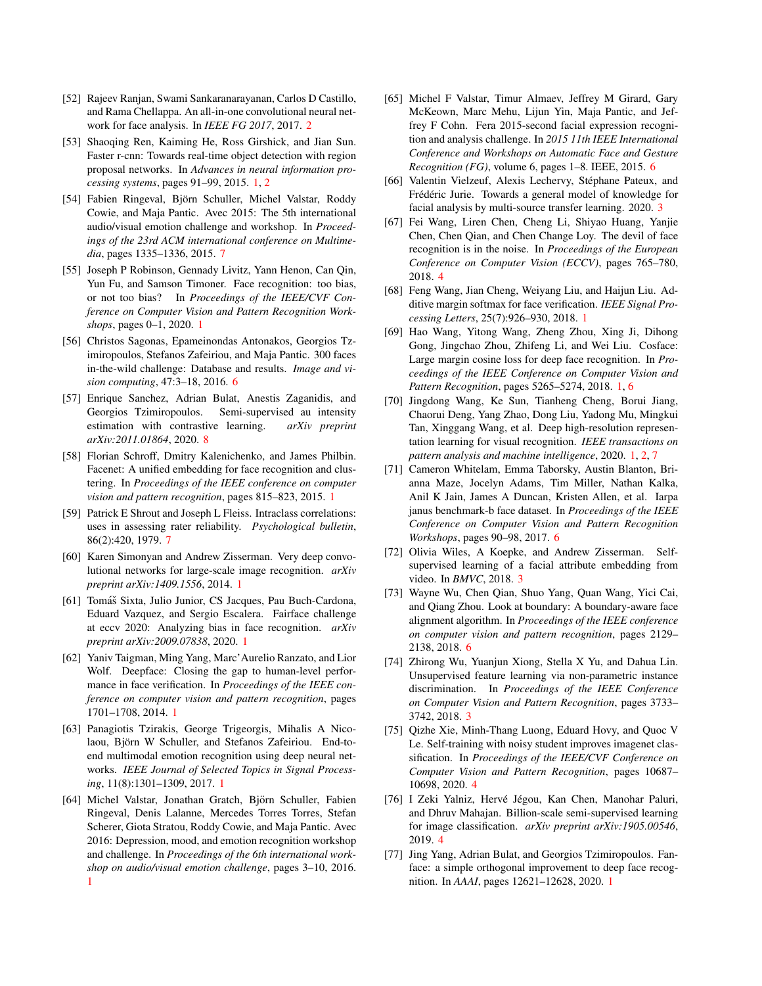- <span id="page-10-12"></span>[52] Rajeev Ranjan, Swami Sankaranarayanan, Carlos D Castillo, and Rama Chellappa. An all-in-one convolutional neural network for face analysis. In *IEEE FG 2017*, 2017. [2](#page-1-0)
- <span id="page-10-0"></span>[53] Shaoqing Ren, Kaiming He, Ross Girshick, and Jian Sun. Faster r-cnn: Towards real-time object detection with region proposal networks. In *Advances in neural information processing systems*, pages 91–99, 2015. [1,](#page-0-0) [2](#page-1-0)
- <span id="page-10-24"></span>[54] Fabien Ringeval, Björn Schuller, Michel Valstar, Roddy Cowie, and Maja Pantic. Avec 2015: The 5th international audio/visual emotion challenge and workshop. In *Proceedings of the 23rd ACM international conference on Multimedia*, pages 1335–1336, 2015. [7](#page-6-3)
- <span id="page-10-10"></span>[55] Joseph P Robinson, Gennady Livitz, Yann Henon, Can Qin, Yun Fu, and Samson Timoner. Face recognition: too bias, or not too bias? In *Proceedings of the IEEE/CVF Conference on Computer Vision and Pattern Recognition Workshops*, pages 0–1, 2020. [1](#page-0-0)
- <span id="page-10-21"></span>[56] Christos Sagonas, Epameinondas Antonakos, Georgios Tzimiropoulos, Stefanos Zafeiriou, and Maja Pantic. 300 faces in-the-wild challenge: Database and results. *Image and vision computing*, 47:3–18, 2016. [6](#page-5-2)
- <span id="page-10-25"></span>[57] Enrique Sanchez, Adrian Bulat, Anestis Zaganidis, and Georgios Tzimiropoulos. Semi-supervised au intensity estimation with contrastive learning. *arXiv preprint arXiv:2011.01864*, 2020. [8](#page-7-4)
- <span id="page-10-2"></span>[58] Florian Schroff, Dmitry Kalenichenko, and James Philbin. Facenet: A unified embedding for face recognition and clustering. In *Proceedings of the IEEE conference on computer vision and pattern recognition*, pages 815–823, 2015. [1](#page-0-0)
- <span id="page-10-23"></span>[59] Patrick E Shrout and Joseph L Fleiss. Intraclass correlations: uses in assessing rater reliability. *Psychological bulletin*, 86(2):420, 1979. [7](#page-6-3)
- <span id="page-10-1"></span>[60] Karen Simonyan and Andrew Zisserman. Very deep convolutional networks for large-scale image recognition. *arXiv preprint arXiv:1409.1556*, 2014. [1](#page-0-0)
- <span id="page-10-11"></span>[61] Tomáš Sixta, Julio Junior, CS Jacques, Pau Buch-Cardona, Eduard Vazquez, and Sergio Escalera. Fairface challenge at eccv 2020: Analyzing bias in face recognition. *arXiv preprint arXiv:2009.07838*, 2020. [1](#page-0-0)
- <span id="page-10-7"></span>[62] Yaniv Taigman, Ming Yang, Marc'Aurelio Ranzato, and Lior Wolf. Deepface: Closing the gap to human-level performance in face verification. In *Proceedings of the IEEE conference on computer vision and pattern recognition*, pages 1701–1708, 2014. [1](#page-0-0)
- <span id="page-10-8"></span>[63] Panagiotis Tzirakis, George Trigeorgis, Mihalis A Nicolaou, Björn W Schuller, and Stefanos Zafeiriou. End-toend multimodal emotion recognition using deep neural networks. *IEEE Journal of Selected Topics in Signal Processing*, 11(8):1301–1309, 2017. [1](#page-0-0)
- <span id="page-10-9"></span>[64] Michel Valstar, Jonathan Gratch, Björn Schuller, Fabien Ringeval, Denis Lalanne, Mercedes Torres Torres, Stefan Scherer, Giota Stratou, Roddy Cowie, and Maja Pantic. Avec 2016: Depression, mood, and emotion recognition workshop and challenge. In *Proceedings of the 6th international workshop on audio/visual emotion challenge*, pages 3–10, 2016. [1](#page-0-0)
- <span id="page-10-22"></span>[65] Michel F Valstar, Timur Almaev, Jeffrey M Girard, Gary McKeown, Marc Mehu, Lijun Yin, Maja Pantic, and Jeffrey F Cohn. Fera 2015-second facial expression recognition and analysis challenge. In *2015 11th IEEE International Conference and Workshops on Automatic Face and Gesture Recognition (FG)*, volume 6, pages 1–8. IEEE, 2015. [6](#page-5-2)
- <span id="page-10-15"></span>[66] Valentin Vielzeuf, Alexis Lechervy, Stéphane Pateux, and Frédéric Jurie. Towards a general model of knowledge for facial analysis by multi-source transfer learning. 2020. [3](#page-2-0)
- <span id="page-10-18"></span>[67] Fei Wang, Liren Chen, Cheng Li, Shiyao Huang, Yanjie Chen, Chen Qian, and Chen Change Loy. The devil of face recognition is in the noise. In *Proceedings of the European Conference on Computer Vision (ECCV)*, pages 765–780, 2018. [4](#page-3-4)
- <span id="page-10-3"></span>[68] Feng Wang, Jian Cheng, Weiyang Liu, and Haijun Liu. Additive margin softmax for face verification. *IEEE Signal Processing Letters*, 25(7):926–930, 2018. [1](#page-0-0)
- <span id="page-10-4"></span>[69] Hao Wang, Yitong Wang, Zheng Zhou, Xing Ji, Dihong Gong, Jingchao Zhou, Zhifeng Li, and Wei Liu. Cosface: Large margin cosine loss for deep face recognition. In *Proceedings of the IEEE Conference on Computer Vision and Pattern Recognition*, pages 5265–5274, 2018. [1,](#page-0-0) [6](#page-5-2)
- <span id="page-10-6"></span>[70] Jingdong Wang, Ke Sun, Tianheng Cheng, Borui Jiang, Chaorui Deng, Yang Zhao, Dong Liu, Yadong Mu, Mingkui Tan, Xinggang Wang, et al. Deep high-resolution representation learning for visual recognition. *IEEE transactions on pattern analysis and machine intelligence*, 2020. [1,](#page-0-0) [2,](#page-1-0) [7](#page-6-3)
- <span id="page-10-20"></span>[71] Cameron Whitelam, Emma Taborsky, Austin Blanton, Brianna Maze, Jocelyn Adams, Tim Miller, Nathan Kalka, Anil K Jain, James A Duncan, Kristen Allen, et al. Iarpa janus benchmark-b face dataset. In *Proceedings of the IEEE Conference on Computer Vision and Pattern Recognition Workshops*, pages 90–98, 2017. [6](#page-5-2)
- <span id="page-10-14"></span>[72] Olivia Wiles, A Koepke, and Andrew Zisserman. Selfsupervised learning of a facial attribute embedding from video. In *BMVC*, 2018. [3](#page-2-0)
- <span id="page-10-19"></span>[73] Wayne Wu, Chen Qian, Shuo Yang, Quan Wang, Yici Cai, and Qiang Zhou. Look at boundary: A boundary-aware face alignment algorithm. In *Proceedings of the IEEE conference on computer vision and pattern recognition*, pages 2129– 2138, 2018. [6](#page-5-2)
- <span id="page-10-13"></span>[74] Zhirong Wu, Yuanjun Xiong, Stella X Yu, and Dahua Lin. Unsupervised feature learning via non-parametric instance discrimination. In *Proceedings of the IEEE Conference on Computer Vision and Pattern Recognition*, pages 3733– 3742, 2018. [3](#page-2-0)
- <span id="page-10-17"></span>[75] Oizhe Xie, Minh-Thang Luong, Eduard Hovy, and Ouoc V Le. Self-training with noisy student improves imagenet classification. In *Proceedings of the IEEE/CVF Conference on Computer Vision and Pattern Recognition*, pages 10687– 10698, 2020. [4](#page-3-4)
- <span id="page-10-16"></span>[76] I Zeki Yalniz, Hervé Jégou, Kan Chen, Manohar Paluri, and Dhruv Mahajan. Billion-scale semi-supervised learning for image classification. *arXiv preprint arXiv:1905.00546*, 2019. [4](#page-3-4)
- <span id="page-10-5"></span>[77] Jing Yang, Adrian Bulat, and Georgios Tzimiropoulos. Fanface: a simple orthogonal improvement to deep face recognition. In *AAAI*, pages 12621–12628, 2020. [1](#page-0-0)